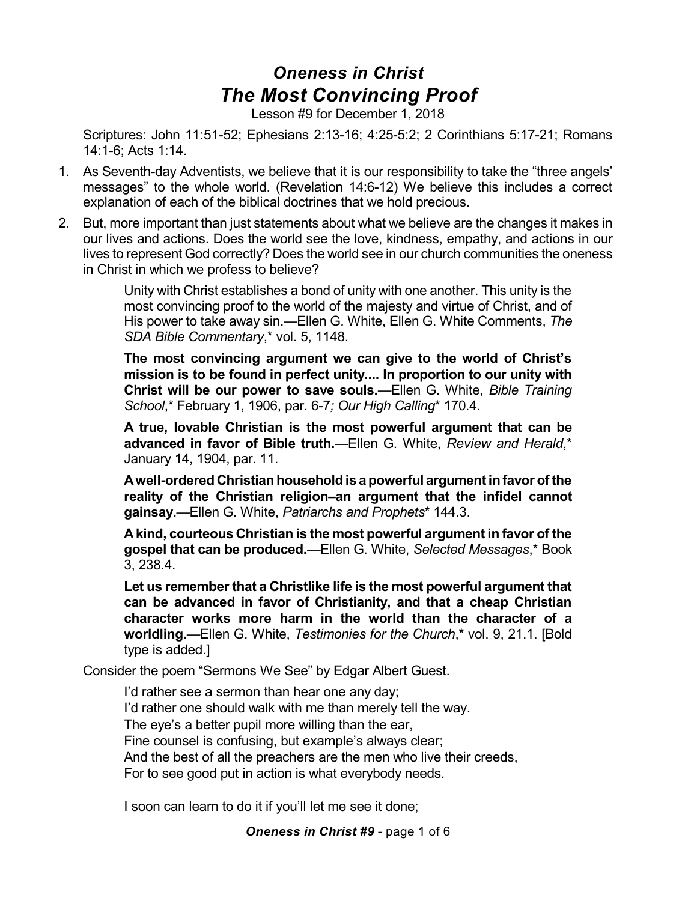## *Oneness in Christ The Most Convincing Proof*

Lesson #9 for December 1, 2018

Scriptures: John 11:51-52; Ephesians 2:13-16; 4:25-5:2; 2 Corinthians 5:17-21; Romans 14:1-6; Acts 1:14.

- 1. As Seventh-day Adventists, we believe that it is our responsibility to take the "three angels' messages" to the whole world. (Revelation 14:6-12) We believe this includes a correct explanation of each of the biblical doctrines that we hold precious.
- 2. But, more important than just statements about what we believe are the changes it makes in our lives and actions. Does the world see the love, kindness, empathy, and actions in our lives to represent God correctly? Does the world see in our church communities the oneness in Christ in which we profess to believe?

Unity with Christ establishes a bond of unity with one another. This unity is the most convincing proof to the world of the majesty and virtue of Christ, and of His power to take away sin.—Ellen G. White, Ellen G. White Comments, *The SDA Bible Commentary*,\* vol. 5, 1148.

**The most convincing argument we can give to the world of Christ's mission is to be found in perfect unity.... In proportion to our unity with Christ will be our power to save souls.**—Ellen G. White, *Bible Training School*,\* February 1, 1906, par. 6-7*; Our High Calling*\* 170.4.

**A true, lovable Christian is the most powerful argument that can be advanced in favor of Bible truth.**—Ellen G. White, *Review and Herald*,\* January 14, 1904, par. 11.

**Awell-ordered Christian householdis apowerful argumentinfavor ofthe reality of the Christian religion–an argument that the infidel cannot gainsay.**—Ellen G. White, *Patriarchs and Prophets*\* 144.3.

**A kind, courteous Christian is the most powerful argument in favor of the gospel that can be produced.**—Ellen G. White, *Selected Messages*,\* Book 3, 238.4.

**Let us remember that a Christlike life is the most powerful argument that can be advanced in favor of Christianity, and that a cheap Christian character works more harm in the world than the character of a worldling.**—Ellen G. White, *Testimonies for the Church*,\* vol. 9, 21.1. [Bold type is added.]

Consider the poem "Sermons We See" by Edgar Albert Guest.

I'd rather see a sermon than hear one any day;

I'd rather one should walk with me than merely tell the way.

The eye's a better pupil more willing than the ear,

Fine counsel is confusing, but example's always clear;

And the best of all the preachers are the men who live their creeds,

For to see good put in action is what everybody needs.

I soon can learn to do it if you'll let me see it done;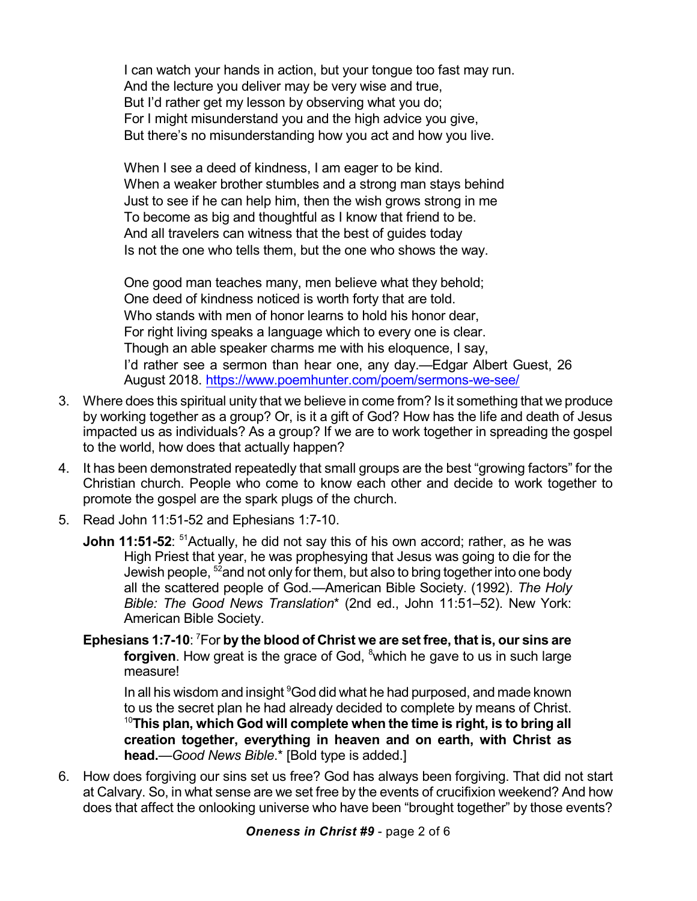I can watch your hands in action, but your tongue too fast may run. And the lecture you deliver may be very wise and true, But I'd rather get my lesson by observing what you do; For I might misunderstand you and the high advice you give, But there's no misunderstanding how you act and how you live.

When I see a deed of kindness, I am eager to be kind. When a weaker brother stumbles and a strong man stays behind Just to see if he can help him, then the wish grows strong in me To become as big and thoughtful as I know that friend to be. And all travelers can witness that the best of guides today Is not the one who tells them, but the one who shows the way.

One good man teaches many, men believe what they behold; One deed of kindness noticed is worth forty that are told. Who stands with men of honor learns to hold his honor dear. For right living speaks a language which to every one is clear. Though an able speaker charms me with his eloquence, I say, I'd rather see a sermon than hear one, any day.—Edgar Albert Guest, 26 August 2018. <https://www.poemhunter.com/poem/sermons-we-see/>

- 3. Where does this spiritual unity that we believe in come from? Is it something that we produce by working together as a group? Or, is it a gift of God? How has the life and death of Jesus impacted us as individuals? As a group? If we are to work together in spreading the gospel to the world, how does that actually happen?
- 4. It has been demonstrated repeatedly that small groups are the best "growing factors" for the Christian church. People who come to know each other and decide to work together to promote the gospel are the spark plugs of the church.
- 5. Read John 11:51-52 and Ephesians 1:7-10.
	- **John 11:51-52**: <sup>51</sup>Actually, he did not say this of his own accord; rather, as he was High Priest that year, he was prophesying that Jesus was going to die for the Jewish people, <sup>52</sup>and not only for them, but also to bring together into one body all the scattered people of God.—American Bible Society. (1992). *The Holy Bible: The Good News Translation*\* (2nd ed., John 11:51–52). New York: American Bible Society.
	- **Ephesians 1:7-10**: <sup>7</sup>For **by the blood of Christ we are set free, that is, our sins are forgiven**. How great is the grace of God, <sup>8</sup>which he gave to us in such large measure!

In all his wisdom and insight <sup>9</sup>God did what he had purposed, and made known to us the secret plan he had already decided to complete by means of Christ. <sup>10</sup>**This plan, which God will complete when the time is right, is to bring all creation together, everything in heaven and on earth, with Christ as head.**—*Good News Bible*.\* [Bold type is added.]

6. How does forgiving our sins set us free? God has always been forgiving. That did not start at Calvary. So, in what sense are we set free by the events of crucifixion weekend? And how does that affect the onlooking universe who have been "brought together" by those events?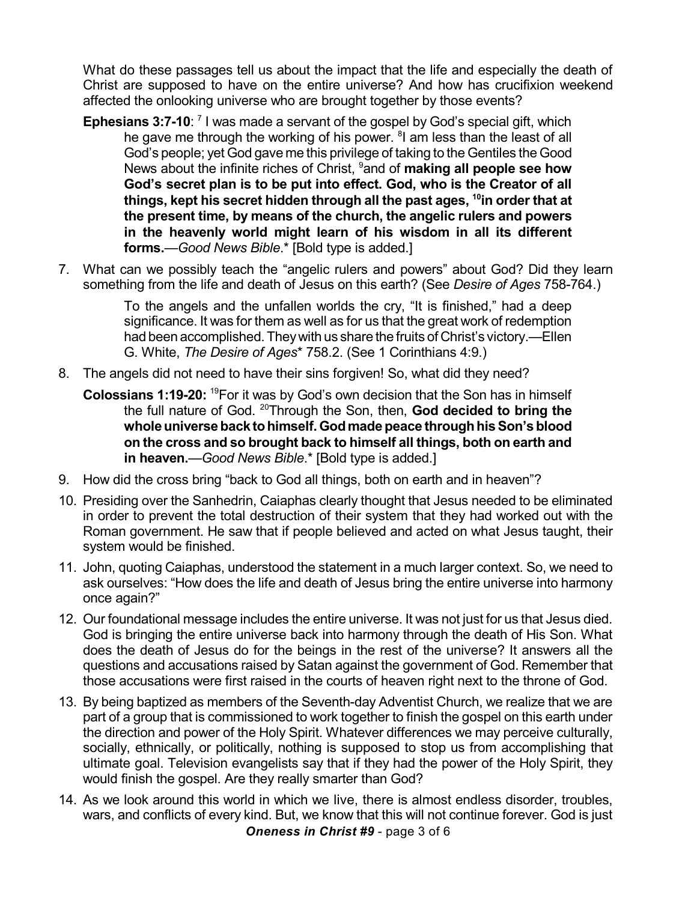What do these passages tell us about the impact that the life and especially the death of Christ are supposed to have on the entire universe? And how has crucifixion weekend affected the onlooking universe who are brought together by those events?

- **Ephesians 3:7-10:** <sup>7</sup> I was made a servant of the gospel by God's special gift, which he gave me through the working of his power. <sup>8</sup>I am less than the least of all God's people; yet God gave me this privilege of taking to the Gentiles the Good News about the infinite riches of Christ, <sup>9</sup>and of **making all people see how God's secret plan is to be put into effect. God, who is the Creator of all things, kept his secret hidden through all the past ages, <sup>10</sup>in order that at the present time, by means of the church, the angelic rulers and powers in the heavenly world might learn of his wisdom in all its different forms.**—*Good News Bible*.\* [Bold type is added.]
- 7. What can we possibly teach the "angelic rulers and powers" about God? Did they learn something from the life and death of Jesus on this earth? (See *Desire of Ages* 758-764.)

To the angels and the unfallen worlds the cry, "It is finished," had a deep significance. It was for them as well as for us that the great work of redemption had been accomplished. They with us share the fruits of Christ's victory.—Ellen G. White, *The Desire of Ages*\* 758.2. (See 1 Corinthians 4:9.)

- 8. The angels did not need to have their sins forgiven! So, what did they need?
	- **Colossians 1:19-20:** <sup>19</sup>For it was by God's own decision that the Son has in himself the full nature of God. <sup>20</sup>Through the Son, then, **God decided to bring the wholeuniverseback tohimself.Godmade peace throughhisSon'sblood on the cross and so brought back to himself all things, both on earth and in heaven.**—*Good News Bible*.\* [Bold type is added.]
- 9. How did the cross bring "back to God all things, both on earth and in heaven"?
- 10. Presiding over the Sanhedrin, Caiaphas clearly thought that Jesus needed to be eliminated in order to prevent the total destruction of their system that they had worked out with the Roman government. He saw that if people believed and acted on what Jesus taught, their system would be finished.
- 11. John, quoting Caiaphas, understood the statement in a much larger context. So, we need to ask ourselves: "How does the life and death of Jesus bring the entire universe into harmony once again?"
- 12. Our foundational message includes the entire universe. It was not just for us that Jesus died. God is bringing the entire universe back into harmony through the death of His Son. What does the death of Jesus do for the beings in the rest of the universe? It answers all the questions and accusations raised by Satan against the government of God. Remember that those accusations were first raised in the courts of heaven right next to the throne of God.
- 13. By being baptized as members of the Seventh-day Adventist Church, we realize that we are part of a group that is commissioned to work together to finish the gospel on this earth under the direction and power of the Holy Spirit. Whatever differences we may perceive culturally, socially, ethnically, or politically, nothing is supposed to stop us from accomplishing that ultimate goal. Television evangelists say that if they had the power of the Holy Spirit, they would finish the gospel. Are they really smarter than God?
- 14. As we look around this world in which we live, there is almost endless disorder, troubles, wars, and conflicts of every kind. But, we know that this will not continue forever. God is just *Oneness in Christ #9* - page 3 of 6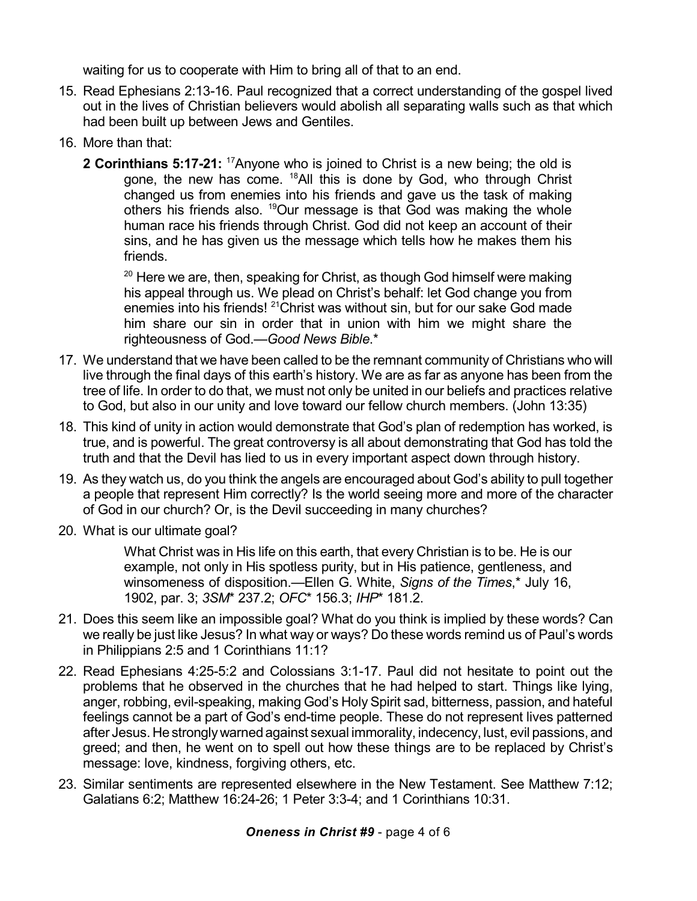waiting for us to cooperate with Him to bring all of that to an end.

- 15. Read Ephesians 2:13-16. Paul recognized that a correct understanding of the gospel lived out in the lives of Christian believers would abolish all separating walls such as that which had been built up between Jews and Gentiles.
- 16. More than that:
	- **2 Corinthians 5:17-21:** <sup>17</sup>Anyone who is joined to Christ is a new being; the old is gone, the new has come. <sup>18</sup>All this is done by God, who through Christ changed us from enemies into his friends and gave us the task of making others his friends also. <sup>19</sup>Our message is that God was making the whole human race his friends through Christ. God did not keep an account of their sins, and he has given us the message which tells how he makes them his friends.

 $20$  Here we are, then, speaking for Christ, as though God himself were making his appeal through us. We plead on Christ's behalf: let God change you from enemies into his friends! <sup>21</sup>Christ was without sin, but for our sake God made him share our sin in order that in union with him we might share the righteousness of God.—*Good News Bible*.\*

- 17. We understand that we have been called to be the remnant community of Christians who will live through the final days of this earth's history. We are as far as anyone has been from the tree of life. In order to do that, we must not only be united in our beliefs and practices relative to God, but also in our unity and love toward our fellow church members. (John 13:35)
- 18. This kind of unity in action would demonstrate that God's plan of redemption has worked, is true, and is powerful. The great controversy is all about demonstrating that God has told the truth and that the Devil has lied to us in every important aspect down through history.
- 19. As they watch us, do you think the angels are encouraged about God's ability to pull together a people that represent Him correctly? Is the world seeing more and more of the character of God in our church? Or, is the Devil succeeding in many churches?
- 20. What is our ultimate goal?

What Christ was in His life on this earth, that every Christian is to be. He is our example, not only in His spotless purity, but in His patience, gentleness, and winsomeness of disposition.—Ellen G. White, *Signs of the Times*,\* July 16, 1902, par. 3; *3SM*\* 237.2; *OFC*\* 156.3; *IHP*\* 181.2.

- 21. Does this seem like an impossible goal? What do you think is implied by these words? Can we really be just like Jesus? In what way or ways? Do these words remind us of Paul's words in Philippians 2:5 and 1 Corinthians 11:1?
- 22. Read Ephesians 4:25-5:2 and Colossians 3:1-17. Paul did not hesitate to point out the problems that he observed in the churches that he had helped to start. Things like lying, anger, robbing, evil-speaking, making God's Holy Spirit sad, bitterness, passion, and hateful feelings cannot be a part of God's end-time people. These do not represent lives patterned after Jesus. He stronglywarned against sexual immorality, indecency, lust, evil passions, and greed; and then, he went on to spell out how these things are to be replaced by Christ's message: love, kindness, forgiving others, etc.
- 23. Similar sentiments are represented elsewhere in the New Testament. See Matthew 7:12; Galatians 6:2; Matthew 16:24-26; 1 Peter 3:3-4; and 1 Corinthians 10:31.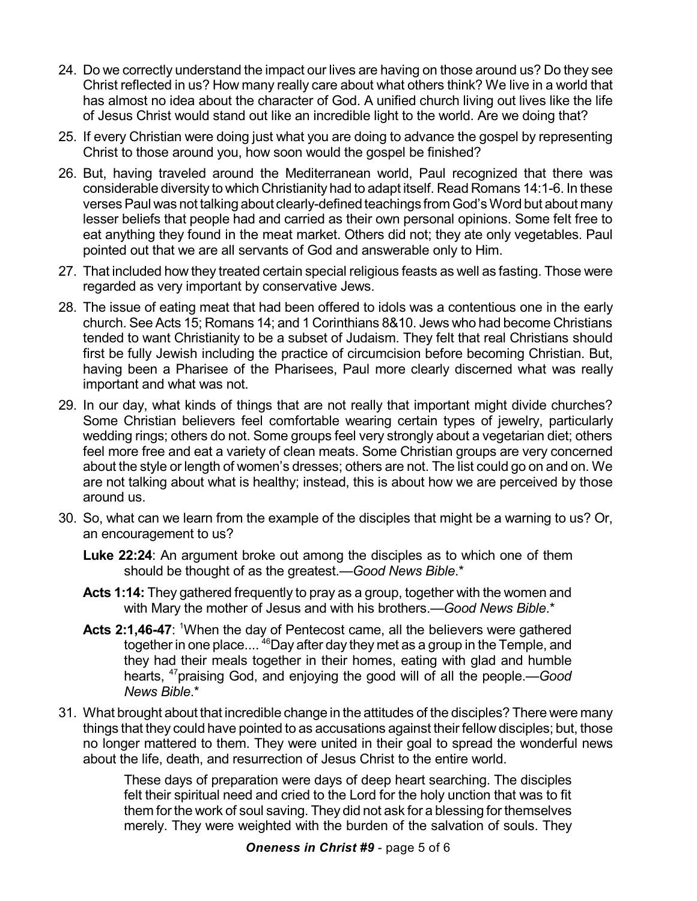- 24. Do we correctly understand the impact our lives are having on those around us? Do they see Christ reflected in us? How many really care about what others think? We live in a world that has almost no idea about the character of God. A unified church living out lives like the life of Jesus Christ would stand out like an incredible light to the world. Are we doing that?
- 25. If every Christian were doing just what you are doing to advance the gospel by representing Christ to those around you, how soon would the gospel be finished?
- 26. But, having traveled around the Mediterranean world, Paul recognized that there was considerable diversity to which Christianity had to adapt itself. Read Romans 14:1-6. In these verses Paul was not talking about clearly-defined teachings from God's Word but about many lesser beliefs that people had and carried as their own personal opinions. Some felt free to eat anything they found in the meat market. Others did not; they ate only vegetables. Paul pointed out that we are all servants of God and answerable only to Him.
- 27. That included how they treated certain special religious feasts as well as fasting. Those were regarded as very important by conservative Jews.
- 28. The issue of eating meat that had been offered to idols was a contentious one in the early church. See Acts 15; Romans 14; and 1 Corinthians 8&10. Jews who had become Christians tended to want Christianity to be a subset of Judaism. They felt that real Christians should first be fully Jewish including the practice of circumcision before becoming Christian. But, having been a Pharisee of the Pharisees, Paul more clearly discerned what was really important and what was not.
- 29. In our day, what kinds of things that are not really that important might divide churches? Some Christian believers feel comfortable wearing certain types of jewelry, particularly wedding rings; others do not. Some groups feel very strongly about a vegetarian diet; others feel more free and eat a variety of clean meats. Some Christian groups are very concerned about the style or length of women's dresses; others are not. The list could go on and on. We are not talking about what is healthy; instead, this is about how we are perceived by those around us.
- 30. So, what can we learn from the example of the disciples that might be a warning to us? Or, an encouragement to us?
	- **Luke 22:24**: An argument broke out among the disciples as to which one of them should be thought of as the greatest.—*Good News Bible*.\*
	- **Acts 1:14:** They gathered frequently to pray as a group, together with the women and with Mary the mother of Jesus and with his brothers.—*Good News Bible*.\*
	- **Acts 2:1,46-47**: <sup>1</sup>When the day of Pentecost came, all the believers were gathered together in one place.... <sup>46</sup>Day after day they met as a group in the Temple, and they had their meals together in their homes, eating with glad and humble hearts, <sup>47</sup>praising God, and enjoying the good will of all the people.—*Good News Bible*.\*
- 31. What brought about that incredible change in the attitudes of the disciples? There were many things that they could have pointed to as accusations against their fellow disciples; but, those no longer mattered to them. They were united in their goal to spread the wonderful news about the life, death, and resurrection of Jesus Christ to the entire world.

These days of preparation were days of deep heart searching. The disciples felt their spiritual need and cried to the Lord for the holy unction that was to fit them forthe work of soul saving. They did not ask for a blessing for themselves merely. They were weighted with the burden of the salvation of souls. They